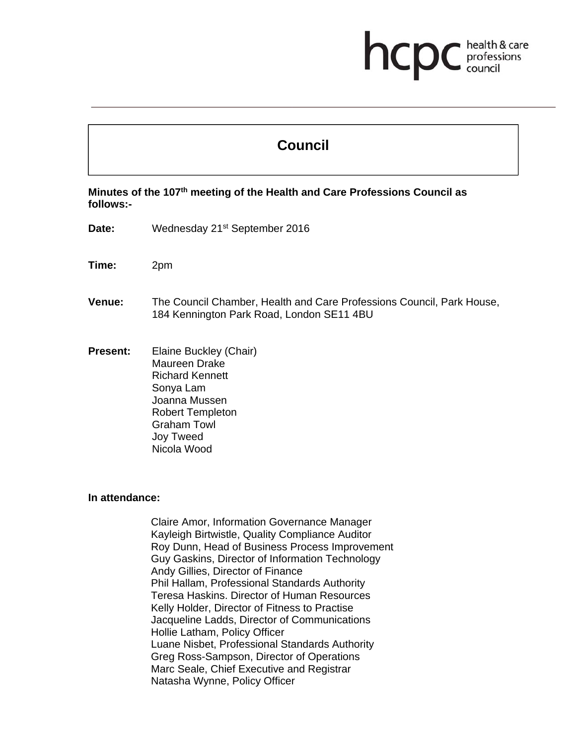# health & care hcp professions

# **Council**

**Minutes of the 107th meeting of the Health and Care Professions Council as follows:-** 

- Date: Wednesday 21<sup>st</sup> September 2016
- **Time:** 2pm
- **Venue:** The Council Chamber, Health and Care Professions Council, Park House, 184 Kennington Park Road, London SE11 4BU
- **Present:** Elaine Buckley (Chair) Maureen Drake Richard Kennett Sonya Lam Joanna Mussen Robert Templeton Graham Towl Joy Tweed Nicola Wood

#### **In attendance:**

Claire Amor, Information Governance Manager Kayleigh Birtwistle, Quality Compliance Auditor Roy Dunn, Head of Business Process Improvement Guy Gaskins, Director of Information Technology Andy Gillies, Director of Finance Phil Hallam, Professional Standards Authority Teresa Haskins. Director of Human Resources Kelly Holder, Director of Fitness to Practise Jacqueline Ladds, Director of Communications Hollie Latham, Policy Officer Luane Nisbet, Professional Standards Authority Greg Ross-Sampson, Director of Operations Marc Seale, Chief Executive and Registrar Natasha Wynne, Policy Officer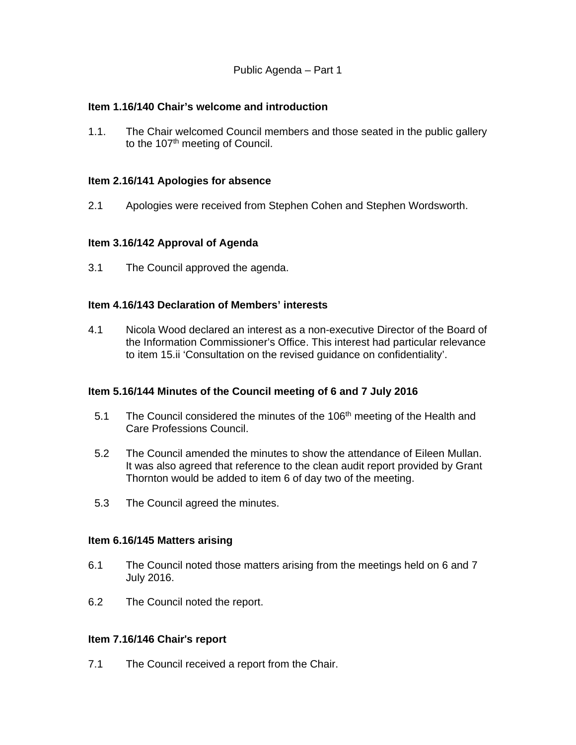## **Item 1.16/140 Chair's welcome and introduction**

1.1. The Chair welcomed Council members and those seated in the public gallery to the 107<sup>th</sup> meeting of Council.

# **Item 2.16/141 Apologies for absence**

2.1 Apologies were received from Stephen Cohen and Stephen Wordsworth.

# **Item 3.16/142 Approval of Agenda**

3.1 The Council approved the agenda.

## **Item 4.16/143 Declaration of Members' interests**

4.1 Nicola Wood declared an interest as a non-executive Director of the Board of the Information Commissioner's Office. This interest had particular relevance to item 15.ii 'Consultation on the revised guidance on confidentiality'.

## **Item 5.16/144 Minutes of the Council meeting of 6 and 7 July 2016**

- 5.1 The Council considered the minutes of the 106<sup>th</sup> meeting of the Health and Care Professions Council.
- 5.2 The Council amended the minutes to show the attendance of Eileen Mullan. It was also agreed that reference to the clean audit report provided by Grant Thornton would be added to item 6 of day two of the meeting.
- 5.3 The Council agreed the minutes.

## **Item 6.16/145 Matters arising**

- 6.1 The Council noted those matters arising from the meetings held on 6 and 7 July 2016.
- 6.2 The Council noted the report.

## **Item 7.16/146 Chair**'**s report**

7.1 The Council received a report from the Chair.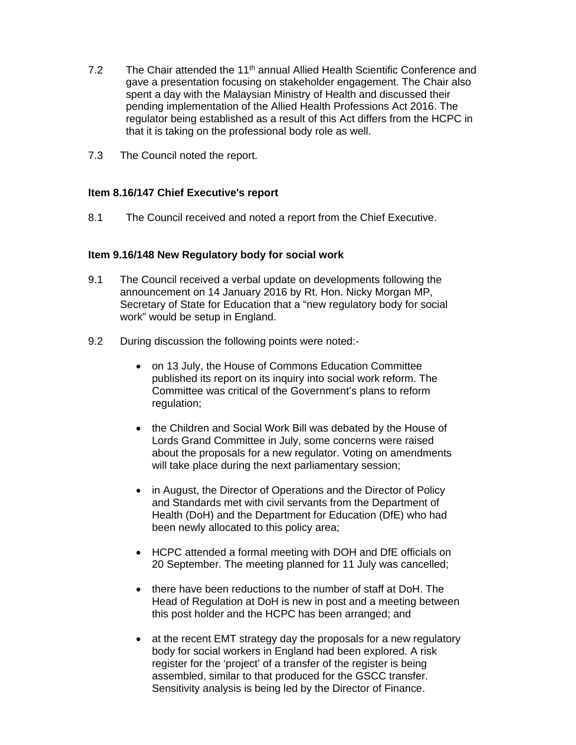- 7.2 The Chair attended the 11<sup>th</sup> annual Allied Health Scientific Conference and gave a presentation focusing on stakeholder engagement. The Chair also spent a day with the Malaysian Ministry of Health and discussed their pending implementation of the Allied Health Professions Act 2016. The regulator being established as a result of this Act differs from the HCPC in that it is taking on the professional body role as well.
- 7.3 The Council noted the report.

#### **Item 8.16/147 Chief Executive**'**s report**

8.1 The Council received and noted a report from the Chief Executive.

#### **Item 9.16/148 New Regulatory body for social work**

- 9.1 The Council received a verbal update on developments following the announcement on 14 January 2016 by Rt. Hon. Nicky Morgan MP, Secretary of State for Education that a "new regulatory body for social work" would be setup in England.
- 9.2 During discussion the following points were noted:-
	- on 13 July, the House of Commons Education Committee published its report on its inquiry into social work reform. The Committee was critical of the Government's plans to reform regulation;
	- the Children and Social Work Bill was debated by the House of Lords Grand Committee in July, some concerns were raised about the proposals for a new regulator. Voting on amendments will take place during the next parliamentary session;
	- in August, the Director of Operations and the Director of Policy and Standards met with civil servants from the Department of Health (DoH) and the Department for Education (DfE) who had been newly allocated to this policy area;
	- HCPC attended a formal meeting with DOH and DfE officials on 20 September. The meeting planned for 11 July was cancelled;
	- there have been reductions to the number of staff at DoH. The Head of Regulation at DoH is new in post and a meeting between this post holder and the HCPC has been arranged; and
	- at the recent EMT strategy day the proposals for a new regulatory body for social workers in England had been explored. A risk register for the 'project' of a transfer of the register is being assembled, similar to that produced for the GSCC transfer. Sensitivity analysis is being led by the Director of Finance.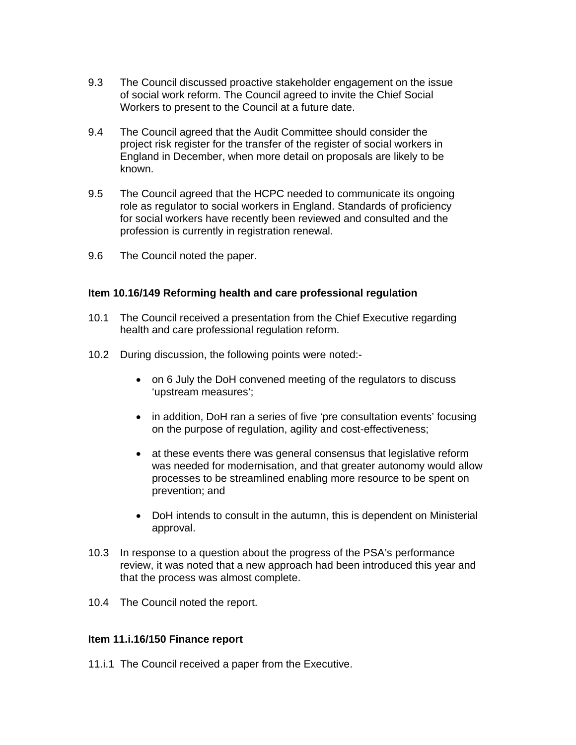- 9.3 The Council discussed proactive stakeholder engagement on the issue of social work reform. The Council agreed to invite the Chief Social Workers to present to the Council at a future date.
- 9.4 The Council agreed that the Audit Committee should consider the project risk register for the transfer of the register of social workers in England in December, when more detail on proposals are likely to be known.
- 9.5 The Council agreed that the HCPC needed to communicate its ongoing role as regulator to social workers in England. Standards of proficiency for social workers have recently been reviewed and consulted and the profession is currently in registration renewal.
- 9.6 The Council noted the paper.

#### **Item 10.16/149 Reforming health and care professional regulation**

- 10.1 The Council received a presentation from the Chief Executive regarding health and care professional regulation reform.
- 10.2 During discussion, the following points were noted:
	- on 6 July the DoH convened meeting of the regulators to discuss 'upstream measures';
	- in addition, DoH ran a series of five 'pre consultation events' focusing on the purpose of regulation, agility and cost-effectiveness;
	- at these events there was general consensus that legislative reform was needed for modernisation, and that greater autonomy would allow processes to be streamlined enabling more resource to be spent on prevention; and
	- DoH intends to consult in the autumn, this is dependent on Ministerial approval.
- 10.3 In response to a question about the progress of the PSA's performance review, it was noted that a new approach had been introduced this year and that the process was almost complete.
- 10.4 The Council noted the report.

## **Item 11.i.16/150 Finance report**

11.i.1 The Council received a paper from the Executive.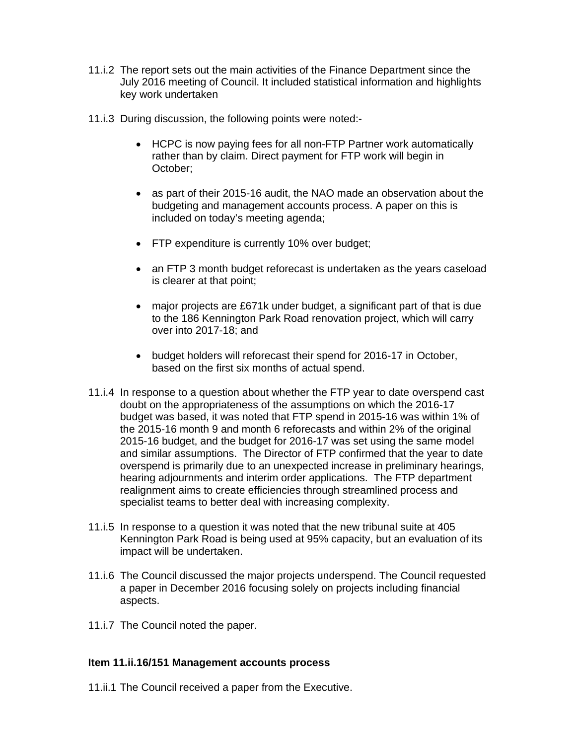- 11.i.2 The report sets out the main activities of the Finance Department since the July 2016 meeting of Council. It included statistical information and highlights key work undertaken
- 11.i.3 During discussion, the following points were noted:-
	- HCPC is now paying fees for all non-FTP Partner work automatically rather than by claim. Direct payment for FTP work will begin in October;
	- as part of their 2015-16 audit, the NAO made an observation about the budgeting and management accounts process. A paper on this is included on today's meeting agenda;
	- FTP expenditure is currently 10% over budget;
	- an FTP 3 month budget reforecast is undertaken as the years caseload is clearer at that point;
	- major projects are £671k under budget, a significant part of that is due to the 186 Kennington Park Road renovation project, which will carry over into 2017-18; and
	- budget holders will reforecast their spend for 2016-17 in October, based on the first six months of actual spend.
- 11.i.4 In response to a question about whether the FTP year to date overspend cast doubt on the appropriateness of the assumptions on which the 2016-17 budget was based, it was noted that FTP spend in 2015-16 was within 1% of the 2015-16 month 9 and month 6 reforecasts and within 2% of the original 2015-16 budget, and the budget for 2016-17 was set using the same model and similar assumptions. The Director of FTP confirmed that the year to date overspend is primarily due to an unexpected increase in preliminary hearings, hearing adjournments and interim order applications. The FTP department realignment aims to create efficiencies through streamlined process and specialist teams to better deal with increasing complexity.
- 11.i.5 In response to a question it was noted that the new tribunal suite at 405 Kennington Park Road is being used at 95% capacity, but an evaluation of its impact will be undertaken.
- 11.i.6 The Council discussed the major projects underspend. The Council requested a paper in December 2016 focusing solely on projects including financial aspects.
- 11.i.7 The Council noted the paper.

## **Item 11.ii.16/151 Management accounts process**

11.ii.1 The Council received a paper from the Executive.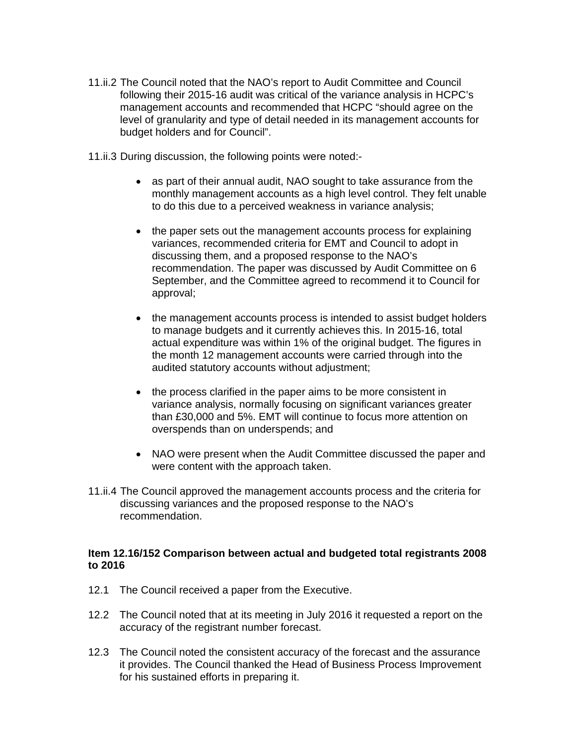- 11.ii.2 The Council noted that the NAO's report to Audit Committee and Council following their 2015-16 audit was critical of the variance analysis in HCPC's management accounts and recommended that HCPC "should agree on the level of granularity and type of detail needed in its management accounts for budget holders and for Council".
- 11.ii.3 During discussion, the following points were noted:
	- as part of their annual audit, NAO sought to take assurance from the monthly management accounts as a high level control. They felt unable to do this due to a perceived weakness in variance analysis;
	- the paper sets out the management accounts process for explaining variances, recommended criteria for EMT and Council to adopt in discussing them, and a proposed response to the NAO's recommendation. The paper was discussed by Audit Committee on 6 September, and the Committee agreed to recommend it to Council for approval;
	- the management accounts process is intended to assist budget holders to manage budgets and it currently achieves this. In 2015-16, total actual expenditure was within 1% of the original budget. The figures in the month 12 management accounts were carried through into the audited statutory accounts without adjustment;
	- the process clarified in the paper aims to be more consistent in variance analysis, normally focusing on significant variances greater than £30,000 and 5%. EMT will continue to focus more attention on overspends than on underspends; and
	- NAO were present when the Audit Committee discussed the paper and were content with the approach taken.
- 11.ii.4 The Council approved the management accounts process and the criteria for discussing variances and the proposed response to the NAO's recommendation.

#### **Item 12.16/152 Comparison between actual and budgeted total registrants 2008 to 2016**

- 12.1 The Council received a paper from the Executive.
- 12.2 The Council noted that at its meeting in July 2016 it requested a report on the accuracy of the registrant number forecast.
- 12.3 The Council noted the consistent accuracy of the forecast and the assurance it provides. The Council thanked the Head of Business Process Improvement for his sustained efforts in preparing it.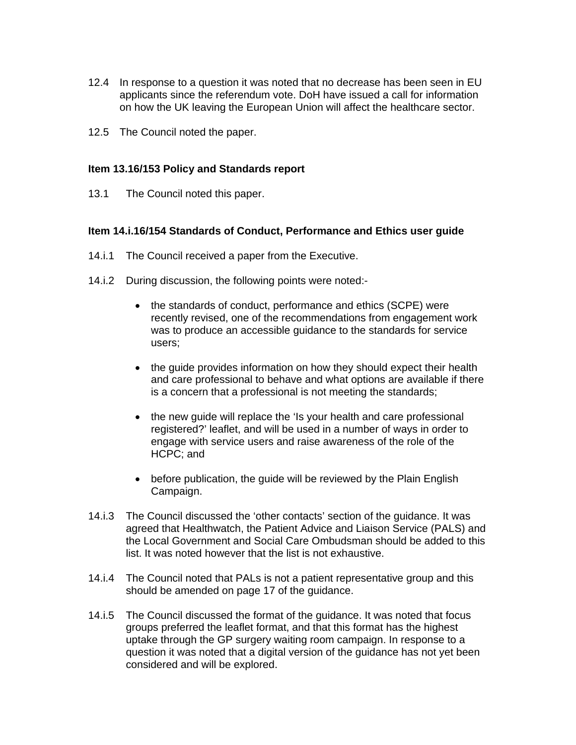- 12.4 In response to a question it was noted that no decrease has been seen in EU applicants since the referendum vote. DoH have issued a call for information on how the UK leaving the European Union will affect the healthcare sector.
- 12.5 The Council noted the paper.

#### **Item 13.16/153 Policy and Standards report**

13.1 The Council noted this paper.

#### **Item 14.i.16/154 Standards of Conduct, Performance and Ethics user guide**

- 14.i.1 The Council received a paper from the Executive.
- 14.i.2 During discussion, the following points were noted:-
	- the standards of conduct, performance and ethics (SCPE) were recently revised, one of the recommendations from engagement work was to produce an accessible guidance to the standards for service users;
	- the guide provides information on how they should expect their health and care professional to behave and what options are available if there is a concern that a professional is not meeting the standards;
	- the new quide will replace the 'Is your health and care professional registered?' leaflet, and will be used in a number of ways in order to engage with service users and raise awareness of the role of the HCPC; and
	- before publication, the guide will be reviewed by the Plain English Campaign.
- 14.i.3 The Council discussed the 'other contacts' section of the guidance. It was agreed that Healthwatch, the Patient Advice and Liaison Service (PALS) and the Local Government and Social Care Ombudsman should be added to this list. It was noted however that the list is not exhaustive.
- 14.i.4 The Council noted that PALs is not a patient representative group and this should be amended on page 17 of the guidance.
- 14.i.5 The Council discussed the format of the guidance. It was noted that focus groups preferred the leaflet format, and that this format has the highest uptake through the GP surgery waiting room campaign. In response to a question it was noted that a digital version of the guidance has not yet been considered and will be explored.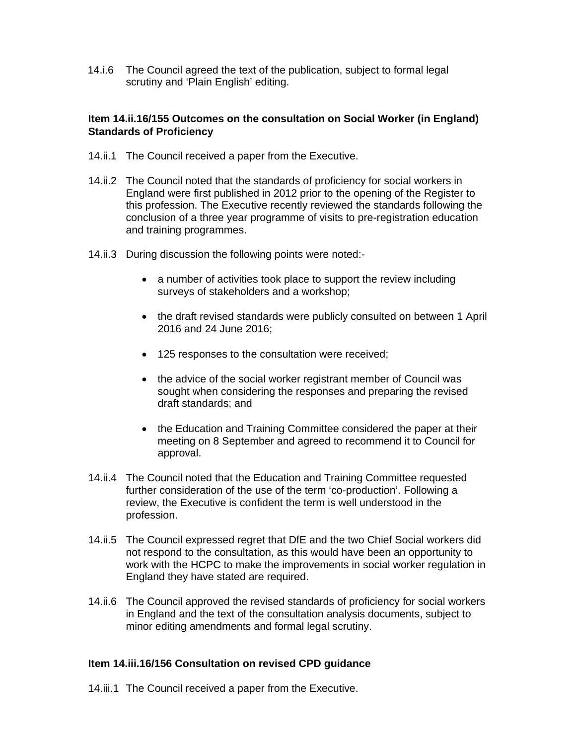14.i.6 The Council agreed the text of the publication, subject to formal legal scrutiny and 'Plain English' editing.

# **Item 14.ii.16/155 Outcomes on the consultation on Social Worker (in England) Standards of Proficiency**

- 14.ii.1 The Council received a paper from the Executive.
- 14.ii.2 The Council noted that the standards of proficiency for social workers in England were first published in 2012 prior to the opening of the Register to this profession. The Executive recently reviewed the standards following the conclusion of a three year programme of visits to pre-registration education and training programmes.
- 14.ii.3 During discussion the following points were noted:-
	- a number of activities took place to support the review including surveys of stakeholders and a workshop;
	- the draft revised standards were publicly consulted on between 1 April 2016 and 24 June 2016;
	- 125 responses to the consultation were received;
	- the advice of the social worker registrant member of Council was sought when considering the responses and preparing the revised draft standards; and
	- the Education and Training Committee considered the paper at their meeting on 8 September and agreed to recommend it to Council for approval.
- 14.ii.4 The Council noted that the Education and Training Committee requested further consideration of the use of the term 'co-production'. Following a review, the Executive is confident the term is well understood in the profession.
- 14.ii.5 The Council expressed regret that DfE and the two Chief Social workers did not respond to the consultation, as this would have been an opportunity to work with the HCPC to make the improvements in social worker regulation in England they have stated are required.
- 14.ii.6 The Council approved the revised standards of proficiency for social workers in England and the text of the consultation analysis documents, subject to minor editing amendments and formal legal scrutiny.

## **Item 14.iii.16/156 Consultation on revised CPD guidance**

14.iii.1 The Council received a paper from the Executive.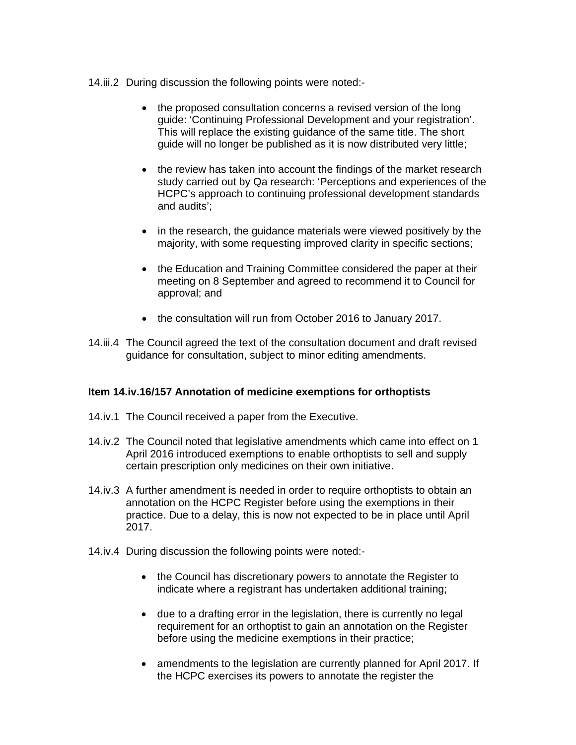#### 14.iii.2 During discussion the following points were noted:-

- the proposed consultation concerns a revised version of the long guide: 'Continuing Professional Development and your registration'. This will replace the existing guidance of the same title. The short guide will no longer be published as it is now distributed very little;
- the review has taken into account the findings of the market research study carried out by Qa research: 'Perceptions and experiences of the HCPC's approach to continuing professional development standards and audits';
- in the research, the guidance materials were viewed positively by the majority, with some requesting improved clarity in specific sections;
- the Education and Training Committee considered the paper at their meeting on 8 September and agreed to recommend it to Council for approval; and
- the consultation will run from October 2016 to January 2017.
- 14.iii.4 The Council agreed the text of the consultation document and draft revised guidance for consultation, subject to minor editing amendments.

## **Item 14.iv.16/157 Annotation of medicine exemptions for orthoptists**

- 14.iv.1 The Council received a paper from the Executive.
- 14.iv.2 The Council noted that legislative amendments which came into effect on 1 April 2016 introduced exemptions to enable orthoptists to sell and supply certain prescription only medicines on their own initiative.
- 14.iv.3 A further amendment is needed in order to require orthoptists to obtain an annotation on the HCPC Register before using the exemptions in their practice. Due to a delay, this is now not expected to be in place until April 2017.
- 14.iv.4 During discussion the following points were noted:-
	- the Council has discretionary powers to annotate the Register to indicate where a registrant has undertaken additional training;
	- due to a drafting error in the legislation, there is currently no legal requirement for an orthoptist to gain an annotation on the Register before using the medicine exemptions in their practice;
	- amendments to the legislation are currently planned for April 2017. If the HCPC exercises its powers to annotate the register the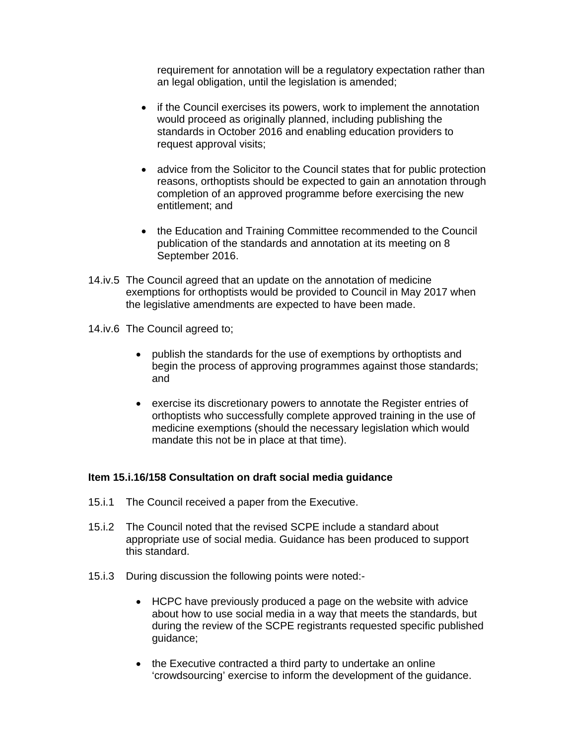requirement for annotation will be a regulatory expectation rather than an legal obligation, until the legislation is amended;

- if the Council exercises its powers, work to implement the annotation would proceed as originally planned, including publishing the standards in October 2016 and enabling education providers to request approval visits;
- advice from the Solicitor to the Council states that for public protection reasons, orthoptists should be expected to gain an annotation through completion of an approved programme before exercising the new entitlement; and
- the Education and Training Committee recommended to the Council publication of the standards and annotation at its meeting on 8 September 2016.
- 14.iv.5 The Council agreed that an update on the annotation of medicine exemptions for orthoptists would be provided to Council in May 2017 when the legislative amendments are expected to have been made.
- 14.iv.6 The Council agreed to;
	- publish the standards for the use of exemptions by orthoptists and begin the process of approving programmes against those standards; and
	- exercise its discretionary powers to annotate the Register entries of orthoptists who successfully complete approved training in the use of medicine exemptions (should the necessary legislation which would mandate this not be in place at that time).

## **Item 15.i.16/158 Consultation on draft social media guidance**

- 15.i.1 The Council received a paper from the Executive.
- 15.i.2 The Council noted that the revised SCPE include a standard about appropriate use of social media. Guidance has been produced to support this standard.
- 15.i.3 During discussion the following points were noted:-
	- HCPC have previously produced a page on the website with advice about how to use social media in a way that meets the standards, but during the review of the SCPE registrants requested specific published guidance;
	- the Executive contracted a third party to undertake an online 'crowdsourcing' exercise to inform the development of the guidance.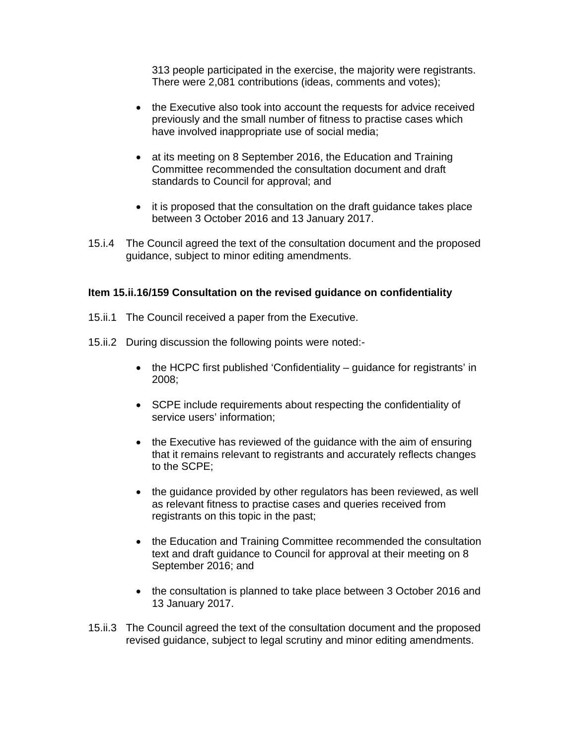313 people participated in the exercise, the majority were registrants. There were 2,081 contributions (ideas, comments and votes);

- the Executive also took into account the requests for advice received previously and the small number of fitness to practise cases which have involved inappropriate use of social media;
- at its meeting on 8 September 2016, the Education and Training Committee recommended the consultation document and draft standards to Council for approval; and
- it is proposed that the consultation on the draft guidance takes place between 3 October 2016 and 13 January 2017.
- 15.i.4 The Council agreed the text of the consultation document and the proposed guidance, subject to minor editing amendments.

## **Item 15.ii.16/159 Consultation on the revised guidance on confidentiality**

- 15.ii.1 The Council received a paper from the Executive.
- 15.ii.2 During discussion the following points were noted:-
	- the HCPC first published 'Confidentiality guidance for registrants' in 2008;
	- SCPE include requirements about respecting the confidentiality of service users' information;
	- the Executive has reviewed of the guidance with the aim of ensuring that it remains relevant to registrants and accurately reflects changes to the SCPE;
	- the guidance provided by other regulators has been reviewed, as well as relevant fitness to practise cases and queries received from registrants on this topic in the past;
	- the Education and Training Committee recommended the consultation text and draft guidance to Council for approval at their meeting on 8 September 2016; and
	- the consultation is planned to take place between 3 October 2016 and 13 January 2017.
- 15.ii.3 The Council agreed the text of the consultation document and the proposed revised guidance, subject to legal scrutiny and minor editing amendments.